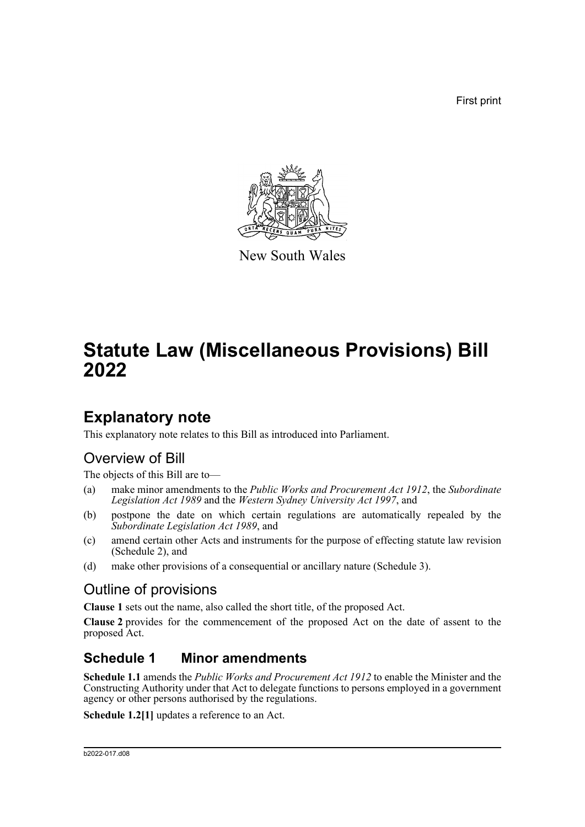First print



New South Wales

# **Statute Law (Miscellaneous Provisions) Bill 2022**

## **Explanatory note**

This explanatory note relates to this Bill as introduced into Parliament.

## Overview of Bill

The objects of this Bill are to—

- (a) make minor amendments to the *Public Works and Procurement Act 1912*, the *Subordinate Legislation Act 1989* and the *Western Sydney University Act 1997*, and
- (b) postpone the date on which certain regulations are automatically repealed by the *Subordinate Legislation Act 1989*, and
- (c) amend certain other Acts and instruments for the purpose of effecting statute law revision (Schedule 2), and
- (d) make other provisions of a consequential or ancillary nature (Schedule 3).

## Outline of provisions

**Clause 1** sets out the name, also called the short title, of the proposed Act.

**Clause 2** provides for the commencement of the proposed Act on the date of assent to the proposed Act.

### **Schedule 1 Minor amendments**

**Schedule 1.1** amends the *Public Works and Procurement Act 1912* to enable the Minister and the Constructing Authority under that Act to delegate functions to persons employed in a government agency or other persons authorised by the regulations.

**Schedule 1.2[1]** updates a reference to an Act.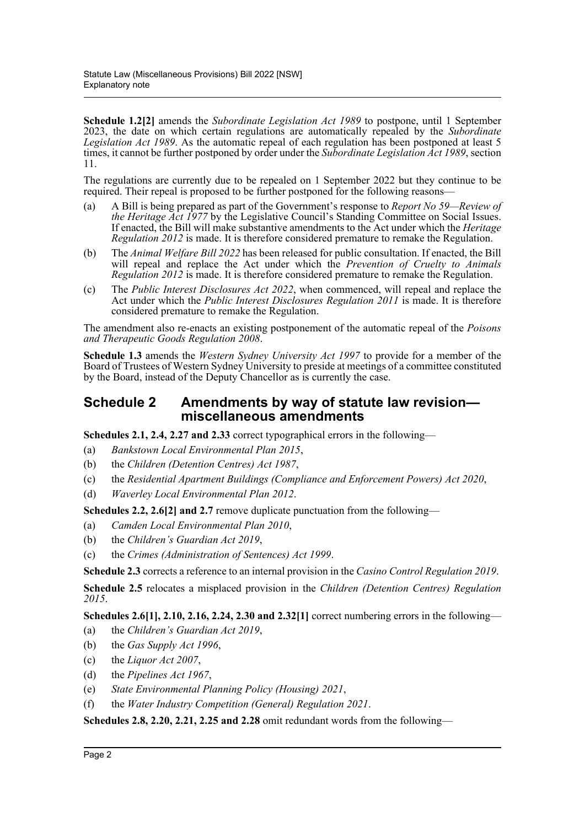**Schedule 1.2[2]** amends the *Subordinate Legislation Act 1989* to postpone, until 1 September 2023, the date on which certain regulations are automatically repealed by the *Subordinate Legislation Act 1989*. As the automatic repeal of each regulation has been postponed at least 5 times, it cannot be further postponed by order under the *Subordinate Legislation Act 1989*, section 11.

The regulations are currently due to be repealed on 1 September 2022 but they continue to be required. Their repeal is proposed to be further postponed for the following reasons—

- (a) A Bill is being prepared as part of the Government's response to *Report No 59—Review of the Heritage Act 1977* by the Legislative Council's Standing Committee on Social Issues. If enacted, the Bill will make substantive amendments to the Act under which the *Heritage Regulation 2012* is made. It is therefore considered premature to remake the Regulation.
- (b) The *Animal Welfare Bill 2022* has been released for public consultation. If enacted, the Bill will repeal and replace the Act under which the *Prevention of Cruelty to Animals Regulation 2012* is made. It is therefore considered premature to remake the Regulation.
- (c) The *Public Interest Disclosures Act 2022*, when commenced, will repeal and replace the Act under which the *Public Interest Disclosures Regulation 2011* is made. It is therefore considered premature to remake the Regulation.

The amendment also re-enacts an existing postponement of the automatic repeal of the *Poisons and Therapeutic Goods Regulation 2008*.

**Schedule 1.3** amends the *Western Sydney University Act 1997* to provide for a member of the Board of Trustees of Western Sydney University to preside at meetings of a committee constituted by the Board, instead of the Deputy Chancellor as is currently the case.

### **Schedule 2 Amendments by way of statute law revision miscellaneous amendments**

**Schedules 2.1, 2.4, 2.27 and 2.33** correct typographical errors in the following—

- (a) *Bankstown Local Environmental Plan 2015*,
- (b) the *Children (Detention Centres) Act 1987*,
- (c) the *Residential Apartment Buildings (Compliance and Enforcement Powers) Act 2020*,
- (d) *Waverley Local Environmental Plan 2012*.

**Schedules 2.2, 2.6[2] and 2.7** remove duplicate punctuation from the following—

- (a) *Camden Local Environmental Plan 2010*,
- (b) the *Children's Guardian Act 2019*,
- (c) the *Crimes (Administration of Sentences) Act 1999*.

**Schedule 2.3** corrects a reference to an internal provision in the *Casino Control Regulation 2019*.

**Schedule 2.5** relocates a misplaced provision in the *Children (Detention Centres) Regulation 2015*.

**Schedules 2.6[1], 2.10, 2.16, 2.24, 2.30 and 2.32[1]** correct numbering errors in the following—

- (a) the *Children's Guardian Act 2019*,
- (b) the *Gas Supply Act 1996*,
- (c) the *Liquor Act 2007*,
- (d) the *Pipelines Act 1967*,
- (e) *State Environmental Planning Policy (Housing) 2021*,
- (f) the *Water Industry Competition (General) Regulation 2021*.

**Schedules 2.8, 2.20, 2.21, 2.25 and 2.28** omit redundant words from the following—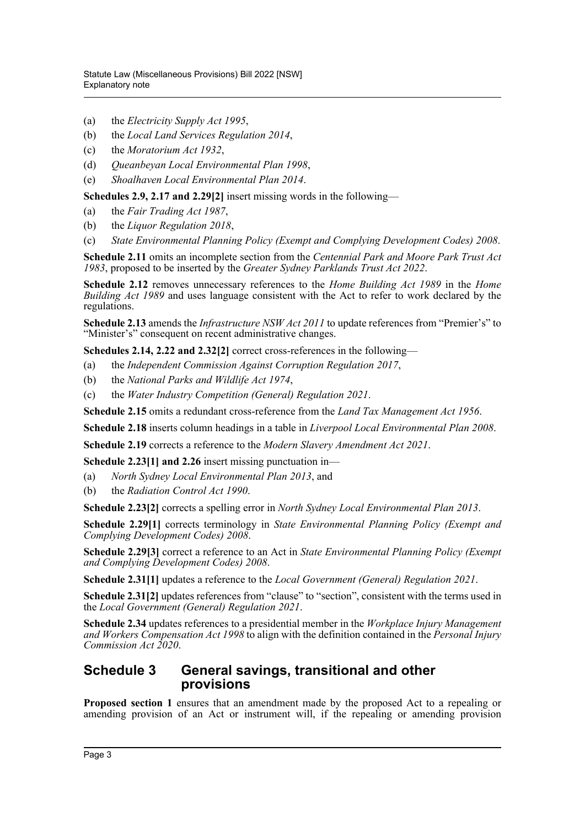- (a) the *Electricity Supply Act 1995*,
- (b) the *Local Land Services Regulation 2014*,
- (c) the *Moratorium Act 1932*,
- (d) *Queanbeyan Local Environmental Plan 1998*,
- (e) *Shoalhaven Local Environmental Plan 2014*.

**Schedules 2.9, 2.17 and 2.29[2]** insert missing words in the following—

- (a) the *Fair Trading Act 1987*,
- (b) the *Liquor Regulation 2018*,
- (c) *State Environmental Planning Policy (Exempt and Complying Development Codes) 2008*.

**Schedule 2.11** omits an incomplete section from the *Centennial Park and Moore Park Trust Act 1983*, proposed to be inserted by the *Greater Sydney Parklands Trust Act 2022*.

**Schedule 2.12** removes unnecessary references to the *Home Building Act 1989* in the *Home Building Act 1989* and uses language consistent with the Act to refer to work declared by the regulations.

**Schedule 2.13** amends the *Infrastructure NSW Act 2011* to update references from "Premier's" to "Minister's" consequent on recent administrative changes.

**Schedules 2.14, 2.22 and 2.32[2]** correct cross-references in the following—

- (a) the *Independent Commission Against Corruption Regulation 2017*,
- (b) the *National Parks and Wildlife Act 1974*,
- (c) the *Water Industry Competition (General) Regulation 2021*.

**Schedule 2.15** omits a redundant cross-reference from the *Land Tax Management Act 1956*.

**Schedule 2.18** inserts column headings in a table in *Liverpool Local Environmental Plan 2008*.

**Schedule 2.19** corrects a reference to the *Modern Slavery Amendment Act 2021*.

**Schedule 2.23[1] and 2.26** insert missing punctuation in—

- (a) *North Sydney Local Environmental Plan 2013*, and
- (b) the *Radiation Control Act 1990*.

**Schedule 2.23[2]** corrects a spelling error in *North Sydney Local Environmental Plan 2013*.

**Schedule 2.29[1]** corrects terminology in *State Environmental Planning Policy (Exempt and Complying Development Codes) 2008*.

**Schedule 2.29[3]** correct a reference to an Act in *State Environmental Planning Policy (Exempt and Complying Development Codes) 2008*.

**Schedule 2.31[1]** updates a reference to the *Local Government (General) Regulation 2021*.

**Schedule 2.31[2]** updates references from "clause" to "section", consistent with the terms used in the *Local Government (General) Regulation 2021*.

**Schedule 2.34** updates references to a presidential member in the *Workplace Injury Management and Workers Compensation Act 1998* to align with the definition contained in the *Personal Injury Commission Act 2020*.

### **Schedule 3 General savings, transitional and other provisions**

**Proposed section 1** ensures that an amendment made by the proposed Act to a repealing or amending provision of an Act or instrument will, if the repealing or amending provision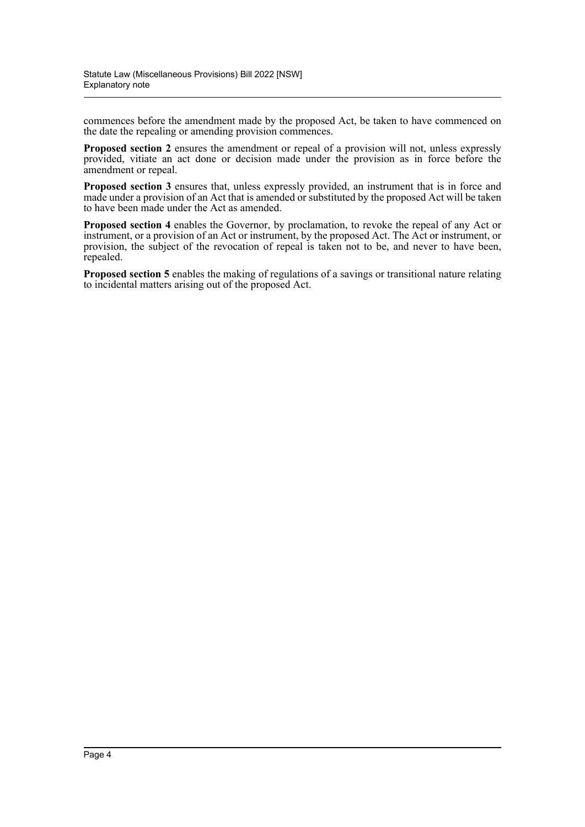commences before the amendment made by the proposed Act, be taken to have commenced on the date the repealing or amending provision commences.

**Proposed section 2** ensures the amendment or repeal of a provision will not, unless expressly provided, vitiate an act done or decision made under the provision as in force before the amendment or repeal.

**Proposed section 3** ensures that, unless expressly provided, an instrument that is in force and made under a provision of an Act that is amended or substituted by the proposed Act will be taken to have been made under the Act as amended.

**Proposed section 4** enables the Governor, by proclamation, to revoke the repeal of any Act or instrument, or a provision of an Act or instrument, by the proposed Act. The Act or instrument, or provision, the subject of the revocation of repeal is taken not to be, and never to have been, repealed.

**Proposed section 5** enables the making of regulations of a savings or transitional nature relating to incidental matters arising out of the proposed Act.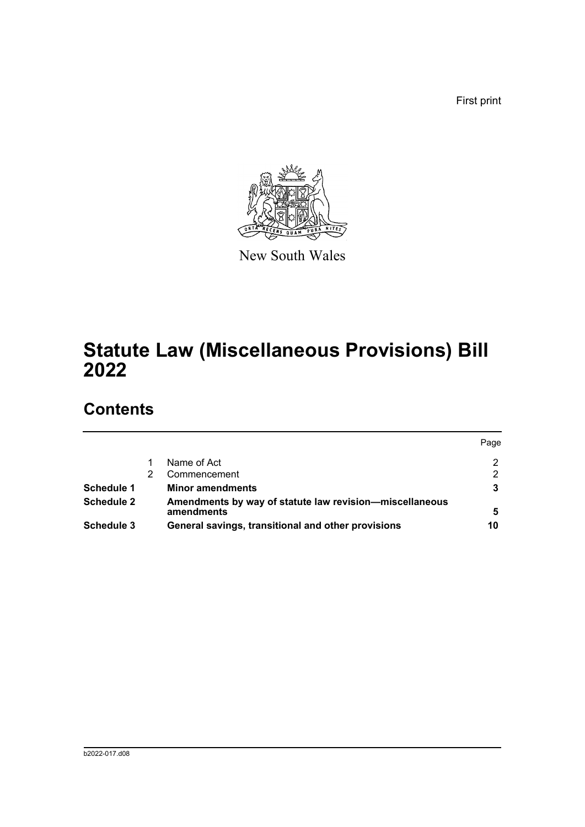First print



New South Wales

# **Statute Law (Miscellaneous Provisions) Bill 2022**

## **Contents**

|                   |                                                                       | Page |
|-------------------|-----------------------------------------------------------------------|------|
|                   | Name of Act                                                           | 2    |
|                   | Commencement                                                          | 2    |
| Schedule 1        | <b>Minor amendments</b>                                               |      |
| <b>Schedule 2</b> | Amendments by way of statute law revision-miscellaneous<br>amendments | 5    |
| Schedule 3        | General savings, transitional and other provisions                    | 10   |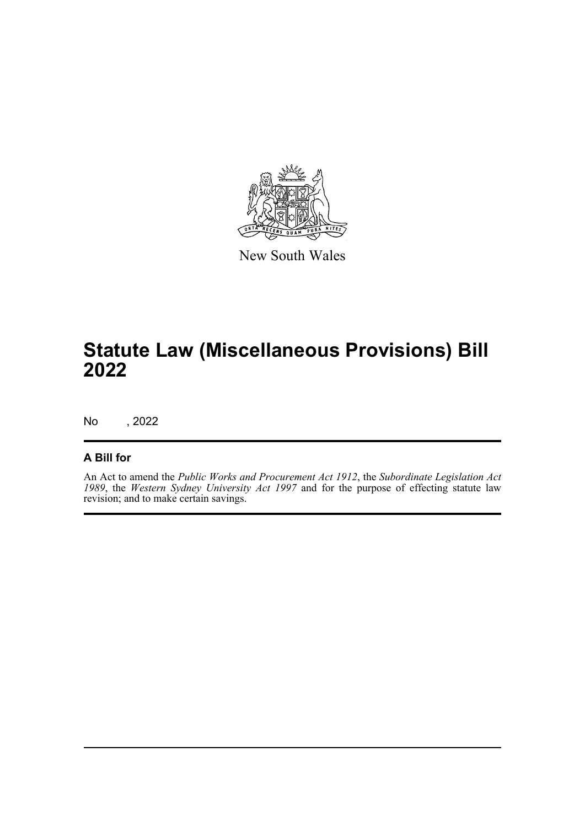

New South Wales

# **Statute Law (Miscellaneous Provisions) Bill 2022**

No , 2022

### **A Bill for**

An Act to amend the *Public Works and Procurement Act 1912*, the *Subordinate Legislation Act 1989*, the *Western Sydney University Act 1997* and for the purpose of effecting statute law revision; and to make certain savings.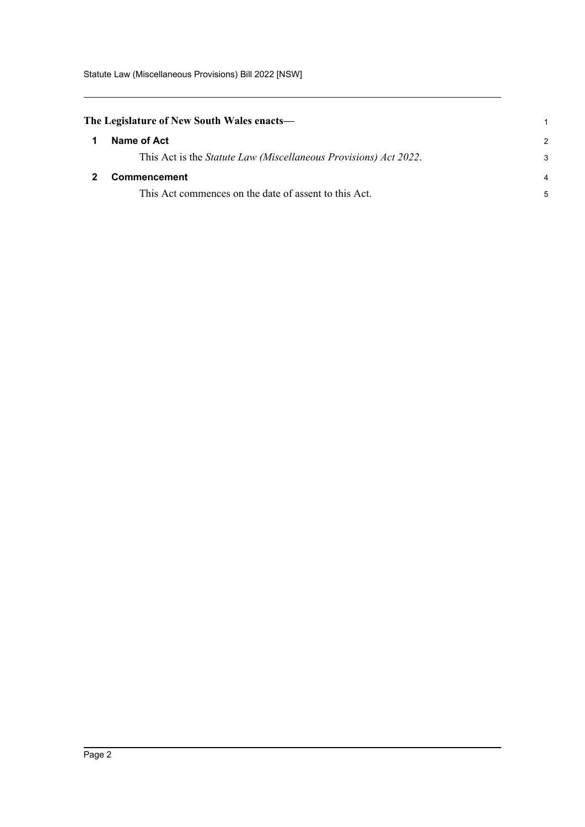<span id="page-6-1"></span><span id="page-6-0"></span>

| The Legislature of New South Wales enacts— |                                                                          |               |
|--------------------------------------------|--------------------------------------------------------------------------|---------------|
|                                            | Name of Act                                                              | $\mathcal{P}$ |
|                                            | This Act is the <i>Statute Law (Miscellaneous Provisions) Act 2022</i> . | 3             |
|                                            | <b>Commencement</b>                                                      | 4             |
|                                            | This Act commences on the date of assent to this Act.                    | 5             |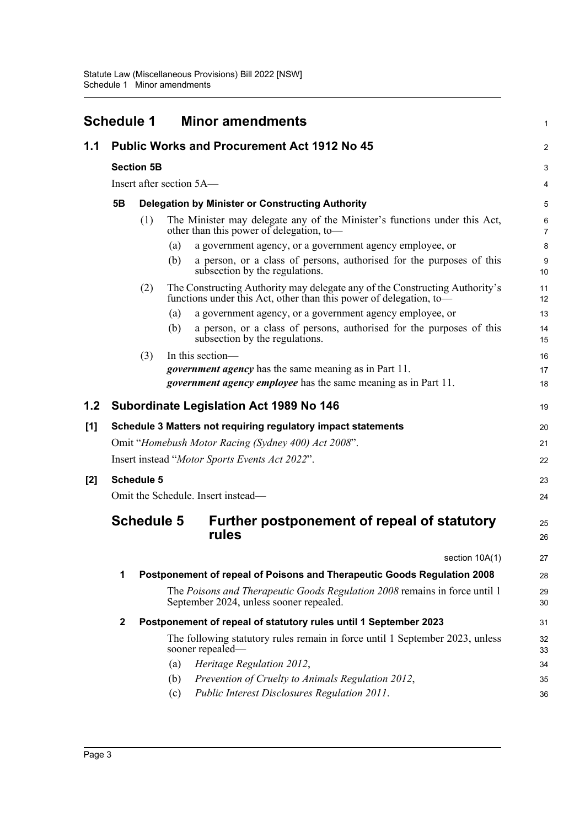<span id="page-7-0"></span>

|       | <b>Schedule 1</b> |                          |                                    | <b>Minor amendments</b>                                                                                                                           | $\mathbf{1}$        |
|-------|-------------------|--------------------------|------------------------------------|---------------------------------------------------------------------------------------------------------------------------------------------------|---------------------|
| 1.1   |                   |                          |                                    | <b>Public Works and Procurement Act 1912 No 45</b>                                                                                                | 2                   |
|       |                   | <b>Section 5B</b>        |                                    |                                                                                                                                                   | 3                   |
|       |                   | Insert after section 5A— |                                    |                                                                                                                                                   |                     |
|       | 5Β                |                          |                                    | <b>Delegation by Minister or Constructing Authority</b>                                                                                           | 5                   |
|       |                   | (1)                      |                                    | The Minister may delegate any of the Minister's functions under this Act,<br>other than this power of delegation, to-                             | 6<br>$\overline{7}$ |
|       |                   |                          | (a)                                | a government agency, or a government agency employee, or                                                                                          | 8                   |
|       |                   |                          | (b)                                | a person, or a class of persons, authorised for the purposes of this<br>subsection by the regulations.                                            | $9\,$<br>10         |
|       |                   | (2)                      |                                    | The Constructing Authority may delegate any of the Constructing Authority's<br>functions under this Act, other than this power of delegation, to- | 11<br>12            |
|       |                   |                          | (a)                                | a government agency, or a government agency employee, or                                                                                          | 13                  |
|       |                   |                          | (b)                                | a person, or a class of persons, authorised for the purposes of this<br>subsection by the regulations.                                            | 14<br>15            |
|       |                   | (3)                      | In this section-                   |                                                                                                                                                   | 16                  |
|       |                   |                          |                                    | <i>government agency</i> has the same meaning as in Part 11.                                                                                      | 17                  |
|       |                   |                          |                                    | <i>government agency employee</i> has the same meaning as in Part 11.                                                                             | 18                  |
| 1.2   |                   |                          |                                    | <b>Subordinate Legislation Act 1989 No 146</b>                                                                                                    | 19                  |
| [1]   |                   |                          |                                    | Schedule 3 Matters not requiring regulatory impact statements                                                                                     | 20                  |
|       |                   |                          |                                    | Omit "Homebush Motor Racing (Sydney 400) Act 2008".                                                                                               | 21                  |
|       |                   |                          |                                    | Insert instead "Motor Sports Events Act 2022".                                                                                                    | 22                  |
| $[2]$ |                   | <b>Schedule 5</b>        |                                    |                                                                                                                                                   | 23                  |
|       |                   |                          | Omit the Schedule. Insert instead— |                                                                                                                                                   | 24                  |
|       |                   | <b>Schedule 5</b>        | rules                              | Further postponement of repeal of statutory                                                                                                       | 25<br>26            |
|       |                   |                          |                                    | section 10A(1)                                                                                                                                    | 27                  |
|       | 1                 |                          |                                    | Postponement of repeal of Poisons and Therapeutic Goods Regulation 2008                                                                           | 28                  |
|       |                   |                          |                                    | The Poisons and Therapeutic Goods Regulation 2008 remains in force until 1<br>September 2024, unless sooner repealed.                             | 29<br>30            |
|       | $\mathbf 2$       |                          |                                    | Postponement of repeal of statutory rules until 1 September 2023                                                                                  | 31                  |
|       |                   |                          | sooner repealed-                   | The following statutory rules remain in force until 1 September 2023, unless                                                                      | 32<br>33            |
|       |                   |                          | (a)                                | Heritage Regulation 2012,                                                                                                                         | 34                  |
|       |                   |                          | (b)                                | Prevention of Cruelty to Animals Regulation 2012,                                                                                                 | 35                  |
|       |                   |                          | (c)                                | Public Interest Disclosures Regulation 2011.                                                                                                      | 36                  |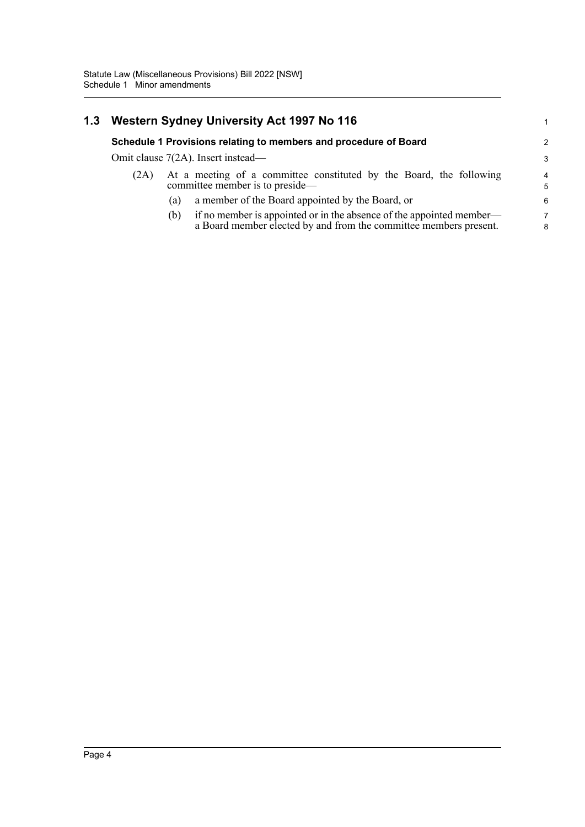| 1.3 | Western Sydney University Act 1997 No 116 |                                                                                                                                                  |  |  |
|-----|-------------------------------------------|--------------------------------------------------------------------------------------------------------------------------------------------------|--|--|
|     |                                           | Schedule 1 Provisions relating to members and procedure of Board                                                                                 |  |  |
|     |                                           | Omit clause 7(2A). Insert instead—                                                                                                               |  |  |
|     | (2A)                                      | At a meeting of a committee constituted by the Board, the following<br>committee member is to preside—                                           |  |  |
|     |                                           | a member of the Board appointed by the Board, or<br>(a)                                                                                          |  |  |
|     |                                           | if no member is appointed or in the absence of the appointed member—<br>(b)<br>a Board member elected by and from the committee members present. |  |  |

1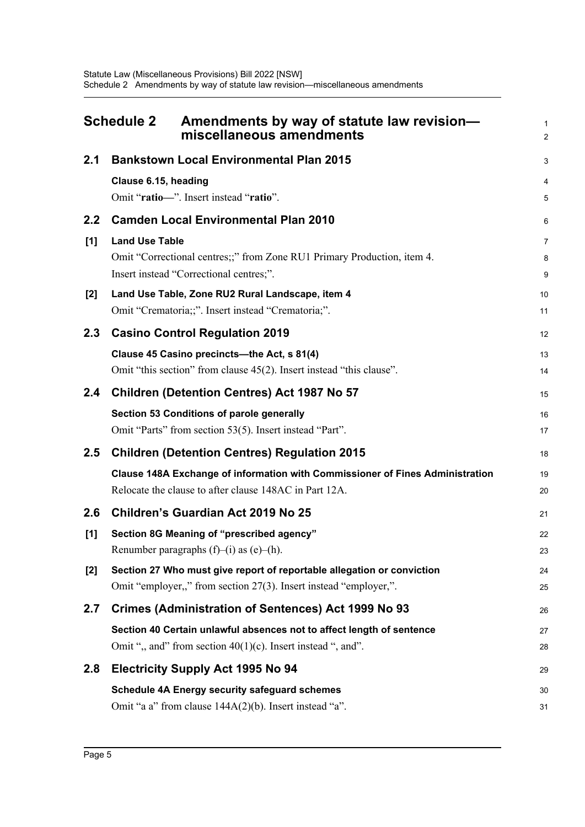<span id="page-9-0"></span>

| <b>Schedule 2</b> |                       | Amendments by way of statute law revision-<br>miscellaneous amendments                                             | $\mathbf{1}$<br>$\overline{2}$ |
|-------------------|-----------------------|--------------------------------------------------------------------------------------------------------------------|--------------------------------|
| 2.1               |                       | <b>Bankstown Local Environmental Plan 2015</b>                                                                     | 3                              |
|                   | Clause 6.15, heading  |                                                                                                                    | 4                              |
|                   |                       | Omit "ratio-". Insert instead "ratio".                                                                             | 5                              |
| 2.2               |                       | <b>Camden Local Environmental Plan 2010</b>                                                                        | 6                              |
| [1]               | <b>Land Use Table</b> |                                                                                                                    | $\overline{7}$                 |
|                   |                       | Omit "Correctional centres;;" from Zone RU1 Primary Production, item 4.<br>Insert instead "Correctional centres;". | 8                              |
|                   |                       |                                                                                                                    | 9                              |
| $[2]$             |                       | Land Use Table, Zone RU2 Rural Landscape, item 4<br>Omit "Crematoria;;". Insert instead "Crematoria;".             | 10<br>11                       |
| 2.3               |                       | <b>Casino Control Regulation 2019</b>                                                                              | 12                             |
|                   |                       | Clause 45 Casino precincts-the Act, s 81(4)                                                                        |                                |
|                   |                       | Omit "this section" from clause 45(2). Insert instead "this clause".                                               | 13<br>14                       |
| 2.4               |                       | <b>Children (Detention Centres) Act 1987 No 57</b>                                                                 | 15                             |
|                   |                       | Section 53 Conditions of parole generally                                                                          | 16                             |
|                   |                       | Omit "Parts" from section 53(5). Insert instead "Part".                                                            | 17                             |
| 2.5               |                       | <b>Children (Detention Centres) Regulation 2015</b>                                                                | 18                             |
|                   |                       | Clause 148A Exchange of information with Commissioner of Fines Administration                                      | 19                             |
|                   |                       | Relocate the clause to after clause 148AC in Part 12A.                                                             | 20                             |
| 2.6               |                       | <b>Children's Guardian Act 2019 No 25</b>                                                                          | 21                             |
| [1]               |                       | Section 8G Meaning of "prescribed agency"                                                                          | 22                             |
|                   |                       | Renumber paragraphs $(f)$ – $(i)$ as $(e)$ – $(h)$ .                                                               | 23                             |
| $[2]$             |                       | Section 27 Who must give report of reportable allegation or conviction                                             | 24                             |
|                   |                       | Omit "employer,," from section 27(3). Insert instead "employer,".                                                  | 25                             |
| 2.7               |                       | Crimes (Administration of Sentences) Act 1999 No 93                                                                | 26                             |
|                   |                       | Section 40 Certain unlawful absences not to affect length of sentence                                              | 27                             |
|                   |                       | Omit ", and" from section $40(1)(c)$ . Insert instead ", and".                                                     | 28                             |
| 2.8               |                       | <b>Electricity Supply Act 1995 No 94</b>                                                                           | 29                             |
|                   |                       | <b>Schedule 4A Energy security safeguard schemes</b>                                                               | 30                             |
|                   |                       | Omit "a a" from clause 144A(2)(b). Insert instead "a".                                                             | 31                             |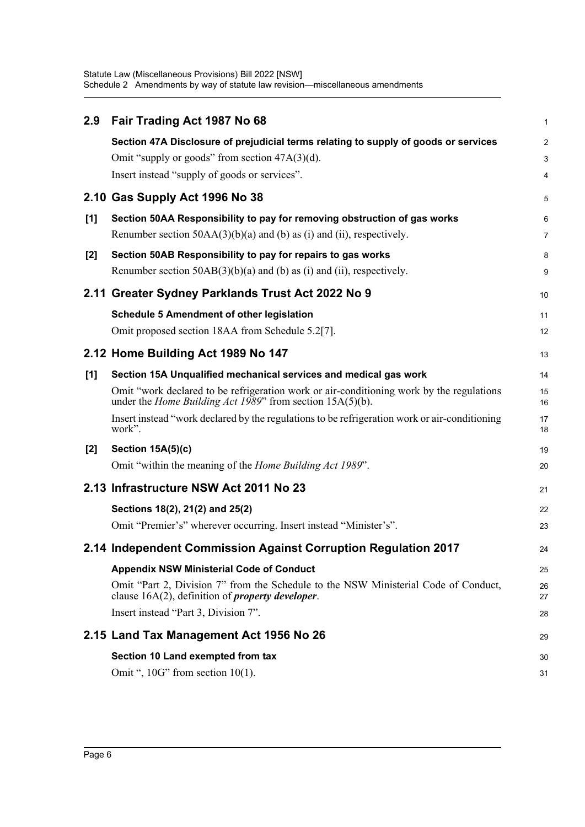Statute Law (Miscellaneous Provisions) Bill 2022 [NSW] Schedule 2 Amendments by way of statute law revision—miscellaneous amendments

| 2.9   | Fair Trading Act 1987 No 68                                                                                                                                      | 1              |
|-------|------------------------------------------------------------------------------------------------------------------------------------------------------------------|----------------|
|       | Section 47A Disclosure of prejudicial terms relating to supply of goods or services                                                                              | $\overline{c}$ |
|       | Omit "supply or goods" from section $47A(3)(d)$ .                                                                                                                | 3              |
|       | Insert instead "supply of goods or services".                                                                                                                    | 4              |
|       | 2.10 Gas Supply Act 1996 No 38                                                                                                                                   | 5              |
| [1]   | Section 50AA Responsibility to pay for removing obstruction of gas works                                                                                         | 6              |
|       | Renumber section $50AA(3)(b)(a)$ and (b) as (i) and (ii), respectively.                                                                                          | 7              |
| $[2]$ | Section 50AB Responsibility to pay for repairs to gas works                                                                                                      | 8              |
|       | Renumber section $50AB(3)(b)(a)$ and (b) as (i) and (ii), respectively.                                                                                          | 9              |
|       | 2.11 Greater Sydney Parklands Trust Act 2022 No 9                                                                                                                | 10             |
|       | <b>Schedule 5 Amendment of other legislation</b>                                                                                                                 | 11             |
|       | Omit proposed section 18AA from Schedule 5.2[7].                                                                                                                 | 12             |
|       | 2.12 Home Building Act 1989 No 147                                                                                                                               | 13             |
| $[1]$ | Section 15A Unqualified mechanical services and medical gas work                                                                                                 | 14             |
|       | Omit "work declared to be refrigeration work or air-conditioning work by the regulations<br>under the <i>Home Building Act 1989</i> " from section $15A(5)(b)$ . | 15<br>16       |
|       | Insert instead "work declared by the regulations to be refrigeration work or air-conditioning<br>work".                                                          | 17<br>18       |
| $[2]$ | Section 15A(5)(c)                                                                                                                                                | 19             |
|       | Omit "within the meaning of the <i>Home Building Act 1989</i> ".                                                                                                 | 20             |
|       | 2.13 Infrastructure NSW Act 2011 No 23                                                                                                                           | 21             |
|       | Sections 18(2), 21(2) and 25(2)                                                                                                                                  | 22             |
|       | Omit "Premier's" wherever occurring. Insert instead "Minister's".                                                                                                | 23             |
|       | 2.14 Independent Commission Against Corruption Regulation 2017                                                                                                   | 24             |
|       | <b>Appendix NSW Ministerial Code of Conduct</b>                                                                                                                  | 25             |
|       | Omit "Part 2, Division 7" from the Schedule to the NSW Ministerial Code of Conduct,<br>clause $16A(2)$ , definition of <i>property developer</i> .               | 26<br>27       |
|       | Insert instead "Part 3, Division 7".                                                                                                                             | 28             |
|       | 2.15 Land Tax Management Act 1956 No 26                                                                                                                          | 29             |
|       | Section 10 Land exempted from tax                                                                                                                                | 30             |
|       | Omit ", $10G$ " from section $10(1)$ .                                                                                                                           | 31             |
|       |                                                                                                                                                                  |                |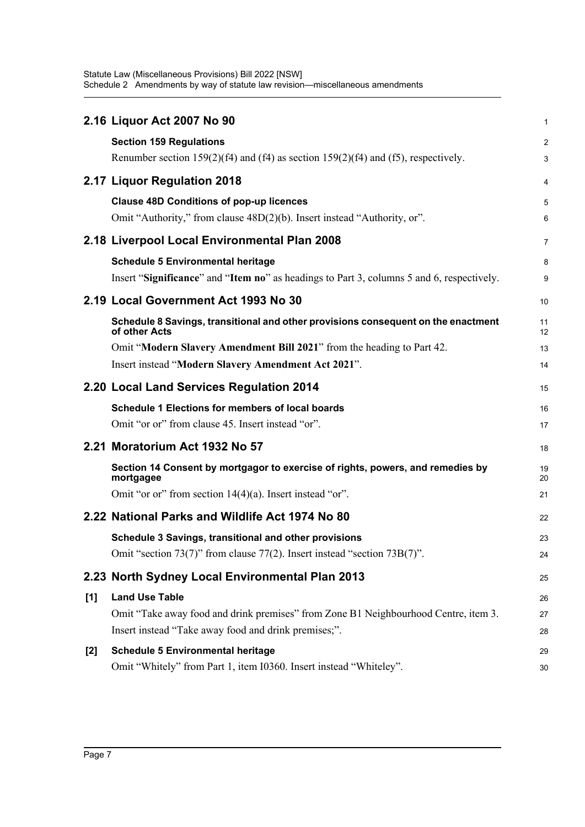Statute Law (Miscellaneous Provisions) Bill 2022 [NSW] Schedule 2 Amendments by way of statute law revision—miscellaneous amendments

|       | 2.16 Liquor Act 2007 No 90                                                                         | 1              |
|-------|----------------------------------------------------------------------------------------------------|----------------|
|       | <b>Section 159 Regulations</b>                                                                     | $\overline{a}$ |
|       | Renumber section $159(2)(f4)$ and $(f4)$ as section $159(2)(f4)$ and $(f5)$ , respectively.        | 3              |
|       | 2.17 Liquor Regulation 2018                                                                        | 4              |
|       | <b>Clause 48D Conditions of pop-up licences</b>                                                    | 5              |
|       | Omit "Authority," from clause 48D(2)(b). Insert instead "Authority, or".                           | 6              |
|       | 2.18 Liverpool Local Environmental Plan 2008                                                       | 7              |
|       | <b>Schedule 5 Environmental heritage</b>                                                           | 8              |
|       | Insert "Significance" and "Item no" as headings to Part 3, columns 5 and 6, respectively.          | 9              |
|       | 2.19 Local Government Act 1993 No 30                                                               | 10             |
|       | Schedule 8 Savings, transitional and other provisions consequent on the enactment<br>of other Acts | 11<br>12       |
|       | Omit "Modern Slavery Amendment Bill 2021" from the heading to Part 42.                             | 13             |
|       | Insert instead "Modern Slavery Amendment Act 2021".                                                | 14             |
|       | 2.20 Local Land Services Regulation 2014                                                           | 15             |
|       | <b>Schedule 1 Elections for members of local boards</b>                                            | 16             |
|       | Omit "or or" from clause 45. Insert instead "or".                                                  | 17             |
|       | 2.21 Moratorium Act 1932 No 57                                                                     | 18             |
|       | Section 14 Consent by mortgagor to exercise of rights, powers, and remedies by<br>mortgagee        | 19<br>20       |
|       | Omit "or or" from section $14(4)(a)$ . Insert instead "or".                                        | 21             |
|       | 2.22 National Parks and Wildlife Act 1974 No 80                                                    | 22             |
|       | Schedule 3 Savings, transitional and other provisions                                              | 23             |
|       | Omit "section 73(7)" from clause 77(2). Insert instead "section 73B(7)".                           | 24             |
|       | 2.23 North Sydney Local Environmental Plan 2013                                                    | 25             |
| [1]   | <b>Land Use Table</b>                                                                              | 26             |
|       | Omit "Take away food and drink premises" from Zone B1 Neighbourhood Centre, item 3.                | 27             |
|       | Insert instead "Take away food and drink premises;".                                               | 28             |
| $[2]$ | <b>Schedule 5 Environmental heritage</b>                                                           | 29             |
|       | Omit "Whitely" from Part 1, item I0360. Insert instead "Whiteley".                                 | 30             |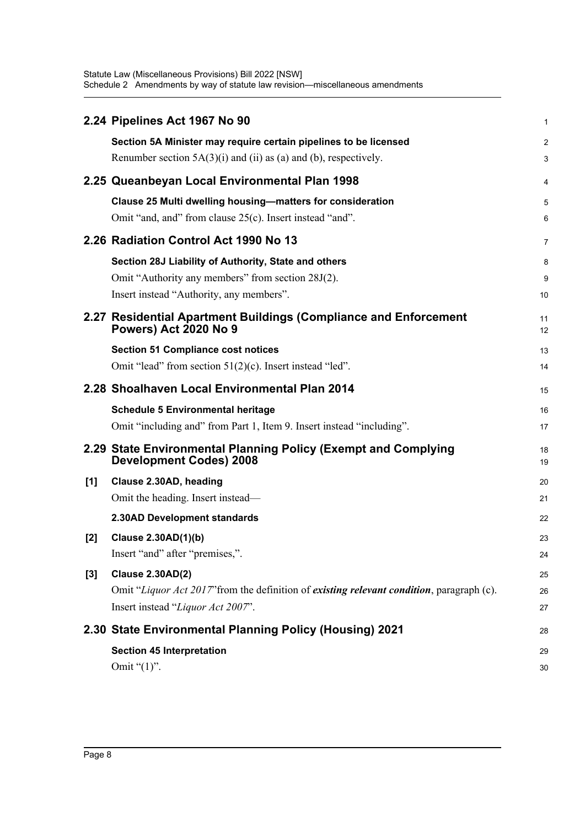Statute Law (Miscellaneous Provisions) Bill 2022 [NSW] Schedule 2 Amendments by way of statute law revision—miscellaneous amendments

|       | 2.24 Pipelines Act 1967 No 90                                                                    | 1              |
|-------|--------------------------------------------------------------------------------------------------|----------------|
|       | Section 5A Minister may require certain pipelines to be licensed                                 | $\overline{c}$ |
|       | Renumber section $5A(3)(i)$ and $(ii)$ as (a) and (b), respectively.                             | 3              |
|       | 2.25 Queanbeyan Local Environmental Plan 1998                                                    | 4              |
|       | Clause 25 Multi dwelling housing-matters for consideration                                       | 5              |
|       | Omit "and, and" from clause 25(c). Insert instead "and".                                         | 6              |
|       | 2.26 Radiation Control Act 1990 No 13                                                            | 7              |
|       | Section 28J Liability of Authority, State and others                                             | 8              |
|       | Omit "Authority any members" from section 28J(2).                                                | 9              |
|       | Insert instead "Authority, any members".                                                         | 10             |
|       | 2.27 Residential Apartment Buildings (Compliance and Enforcement                                 | 11             |
|       | <b>Powers) Act 2020 No 9</b>                                                                     | 12             |
|       | <b>Section 51 Compliance cost notices</b>                                                        | 13             |
|       | Omit "lead" from section 51(2)(c). Insert instead "led".                                         | 14             |
|       | 2.28 Shoalhaven Local Environmental Plan 2014                                                    | 15             |
|       | <b>Schedule 5 Environmental heritage</b>                                                         | 16             |
|       | Omit "including and" from Part 1, Item 9. Insert instead "including".                            | 17             |
|       | 2.29 State Environmental Planning Policy (Exempt and Complying<br><b>Development Codes) 2008</b> | 18<br>19       |
| [1]   | Clause 2.30AD, heading                                                                           | 20             |
|       | Omit the heading. Insert instead—                                                                | 21             |
|       | 2.30AD Development standards                                                                     | 22             |
| $[2]$ | Clause 2.30AD(1)(b)                                                                              | 23             |
|       | Insert "and" after "premises,".                                                                  | 24             |
| $[3]$ | <b>Clause 2.30AD(2)</b>                                                                          | 25             |
|       | Omit "Liquor Act 2017" from the definition of existing relevant condition, paragraph (c).        | 26             |
|       | Insert instead "Liquor Act 2007".                                                                | 27             |
|       | 2.30 State Environmental Planning Policy (Housing) 2021                                          | 28             |
|       | <b>Section 45 Interpretation</b>                                                                 | 29             |
|       | Omit " $(1)$ ".                                                                                  | 30             |
|       |                                                                                                  |                |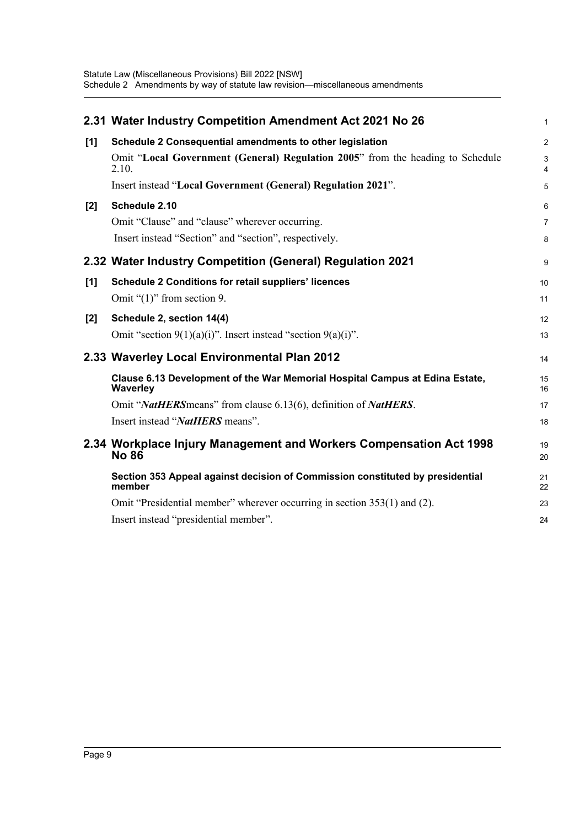|       | 2.31 Water Industry Competition Amendment Act 2021 No 26                                        | $\mathbf{1}$        |
|-------|-------------------------------------------------------------------------------------------------|---------------------|
| $[1]$ | Schedule 2 Consequential amendments to other legislation                                        | $\overline{2}$      |
|       | Omit "Local Government (General) Regulation 2005" from the heading to Schedule<br>2.10.         | 3<br>$\overline{4}$ |
|       | Insert instead "Local Government (General) Regulation 2021".                                    | 5                   |
| [2]   | Schedule 2.10                                                                                   | 6                   |
|       | Omit "Clause" and "clause" wherever occurring.                                                  | $\overline{7}$      |
|       | Insert instead "Section" and "section", respectively.                                           | 8                   |
|       | 2.32 Water Industry Competition (General) Regulation 2021                                       | 9                   |
| [1]   | <b>Schedule 2 Conditions for retail suppliers' licences</b>                                     | 10                  |
|       | Omit " $(1)$ " from section 9.                                                                  | 11                  |
| $[2]$ | Schedule 2, section 14(4)                                                                       | 12                  |
|       | Omit "section $9(1)(a)(i)$ ". Insert instead "section $9(a)(i)$ ".                              | 13                  |
|       | 2.33 Waverley Local Environmental Plan 2012                                                     | 14                  |
|       | Clause 6.13 Development of the War Memorial Hospital Campus at Edina Estate,<br><b>Waverley</b> | 15<br>16            |
|       | Omit "NatHERS means" from clause 6.13(6), definition of NatHERS.                                | 17                  |
|       | Insert instead "NatHERS means".                                                                 | 18                  |
|       | 2.34 Workplace Injury Management and Workers Compensation Act 1998<br><b>No 86</b>              | 19<br>20            |
|       | Section 353 Appeal against decision of Commission constituted by presidential<br>member         | 21<br>22            |
|       | Omit "Presidential member" wherever occurring in section 353(1) and (2).                        | 23                  |
|       | Insert instead "presidential member".                                                           | 24                  |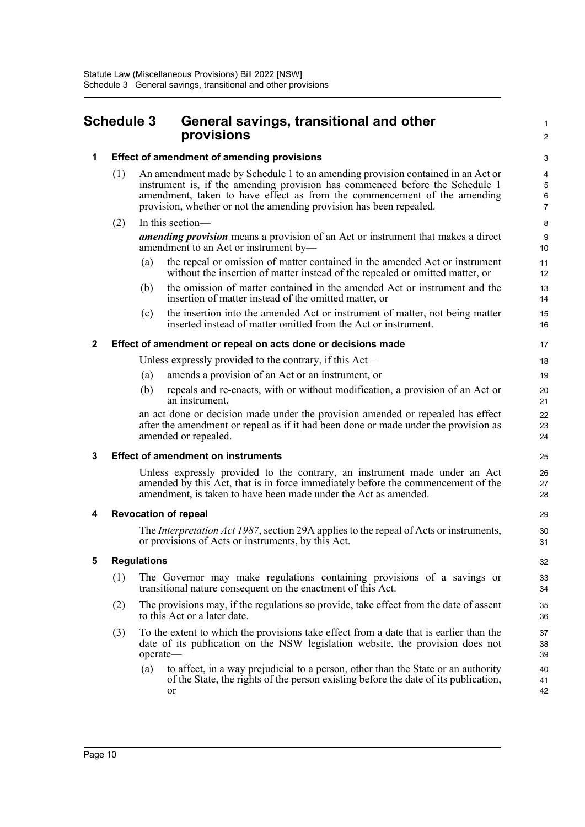### <span id="page-14-0"></span>**Schedule 3 General savings, transitional and other provisions**

### **1 Effect of amendment of amending provisions**

(1) An amendment made by Schedule 1 to an amending provision contained in an Act or instrument is, if the amending provision has commenced before the Schedule 1 amendment, taken to have effect as from the commencement of the amending provision, whether or not the amending provision has been repealed.

### (2) In this section—

*amending provision* means a provision of an Act or instrument that makes a direct amendment to an Act or instrument by—

- (a) the repeal or omission of matter contained in the amended Act or instrument without the insertion of matter instead of the repealed or omitted matter, or
- (b) the omission of matter contained in the amended Act or instrument and the insertion of matter instead of the omitted matter, or
- (c) the insertion into the amended Act or instrument of matter, not being matter inserted instead of matter omitted from the Act or instrument.

### **2 Effect of amendment or repeal on acts done or decisions made**

Unless expressly provided to the contrary, if this Act—

- (a) amends a provision of an Act or an instrument, or
- (b) repeals and re-enacts, with or without modification, a provision of an Act or an instrument,

an act done or decision made under the provision amended or repealed has effect after the amendment or repeal as if it had been done or made under the provision as amended or repealed.

#### **3 Effect of amendment on instruments**

Unless expressly provided to the contrary, an instrument made under an Act amended by this Act, that is in force immediately before the commencement of the amendment, is taken to have been made under the Act as amended.

#### **4 Revocation of repeal**

The *Interpretation Act 1987*, section 29A applies to the repeal of Acts or instruments, or provisions of Acts or instruments, by this Act.

#### **5 Regulations**

- (1) The Governor may make regulations containing provisions of a savings or transitional nature consequent on the enactment of this Act.
- (2) The provisions may, if the regulations so provide, take effect from the date of assent to this Act or a later date.
- (3) To the extent to which the provisions take effect from a date that is earlier than the date of its publication on the NSW legislation website, the provision does not operate—
	- (a) to affect, in a way prejudicial to a person, other than the State or an authority of the State, the rights of the person existing before the date of its publication, or